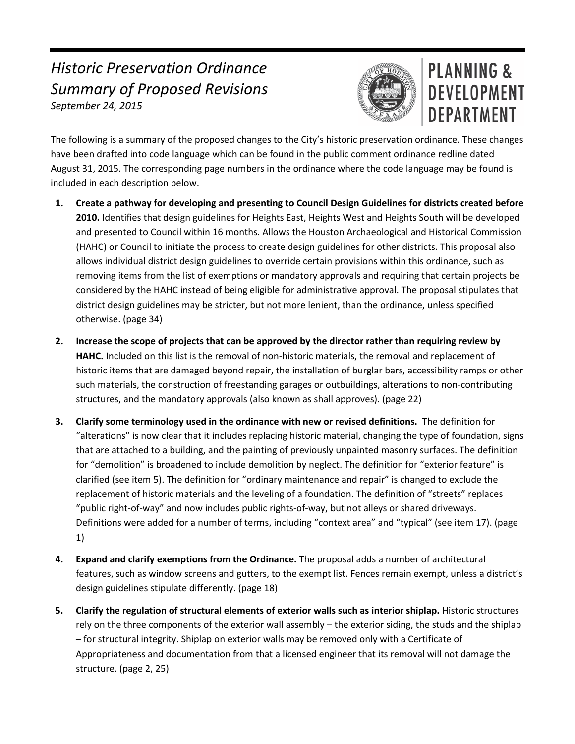## *Historic Preservation Ordinance Summary of Proposed Revisions September 24, 2015*



## PLANNING & **DEVELOPMENT DEPARTMENT**

The following is a summary of the proposed changes to the City's historic preservation ordinance. These changes have been drafted into code language which can be found in the public comment ordinance redline dated August 31, 2015. The corresponding page numbers in the ordinance where the code language may be found is included in each description below.

- **1. Create a pathway for developing and presenting to Council Design Guidelines for districts created before 2010.** Identifies that design guidelines for Heights East, Heights West and Heights South will be developed and presented to Council within 16 months. Allows the Houston Archaeological and Historical Commission (HAHC) or Council to initiate the process to create design guidelines for other districts. This proposal also allows individual district design guidelines to override certain provisions within this ordinance, such as removing items from the list of exemptions or mandatory approvals and requiring that certain projects be considered by the HAHC instead of being eligible for administrative approval. The proposal stipulates that district design guidelines may be stricter, but not more lenient, than the ordinance, unless specified otherwise. (page 34)
- **2. Increase the scope of projects that can be approved by the director rather than requiring review by HAHC.** Included on this list is the removal of non-historic materials, the removal and replacement of historic items that are damaged beyond repair, the installation of burglar bars, accessibility ramps or other such materials, the construction of freestanding garages or outbuildings, alterations to non-contributing structures, and the mandatory approvals (also known as shall approves). (page 22)
- **3. Clarify some terminology used in the ordinance with new or revised definitions.** The definition for "alterations" is now clear that it includes replacing historic material, changing the type of foundation, signs that are attached to a building, and the painting of previously unpainted masonry surfaces. The definition for "demolition" is broadened to include demolition by neglect. The definition for "exterior feature" is clarified (see item 5). The definition for "ordinary maintenance and repair" is changed to exclude the replacement of historic materials and the leveling of a foundation. The definition of "streets" replaces "public right-of-way" and now includes public rights-of-way, but not alleys or shared driveways. Definitions were added for a number of terms, including "context area" and "typical" (see item 17). (page 1)
- **4. Expand and clarify exemptions from the Ordinance.** The proposal adds a number of architectural features, such as window screens and gutters, to the exempt list. Fences remain exempt, unless a district's design guidelines stipulate differently. (page 18)
- **5. Clarify the regulation of structural elements of exterior walls such as interior shiplap.** Historic structures rely on the three components of the exterior wall assembly – the exterior siding, the studs and the shiplap – for structural integrity. Shiplap on exterior walls may be removed only with a Certificate of Appropriateness and documentation from that a licensed engineer that its removal will not damage the structure. (page 2, 25)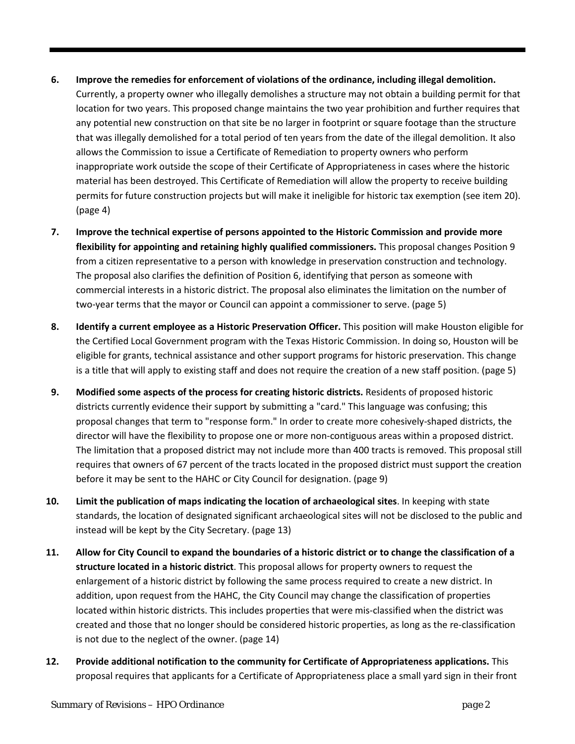- **6. Improve the remedies for enforcement of violations of the ordinance, including illegal demolition.** Currently, a property owner who illegally demolishes a structure may not obtain a building permit for that location for two years. This proposed change maintains the two year prohibition and further requires that any potential new construction on that site be no larger in footprint or square footage than the structure that was illegally demolished for a total period of ten years from the date of the illegal demolition. It also allows the Commission to issue a Certificate of Remediation to property owners who perform inappropriate work outside the scope of their Certificate of Appropriateness in cases where the historic material has been destroyed. This Certificate of Remediation will allow the property to receive building permits for future construction projects but will make it ineligible for historic tax exemption (see item 20). (page 4)
- **7. Improve the technical expertise of persons appointed to the Historic Commission and provide more flexibility for appointing and retaining highly qualified commissioners.** This proposal changes Position 9 from a citizen representative to a person with knowledge in preservation construction and technology. The proposal also clarifies the definition of Position 6, identifying that person as someone with commercial interests in a historic district. The proposal also eliminates the limitation on the number of two-year terms that the mayor or Council can appoint a commissioner to serve. (page 5)
- **8. Identify a current employee as a Historic Preservation Officer.** This position will make Houston eligible for the Certified Local Government program with the Texas Historic Commission. In doing so, Houston will be eligible for grants, technical assistance and other support programs for historic preservation. This change is a title that will apply to existing staff and does not require the creation of a new staff position. (page 5)
- **9. Modified some aspects of the process for creating historic districts.** Residents of proposed historic districts currently evidence their support by submitting a "card." This language was confusing; this proposal changes that term to "response form." In order to create more cohesively-shaped districts, the director will have the flexibility to propose one or more non-contiguous areas within a proposed district. The limitation that a proposed district may not include more than 400 tracts is removed. This proposal still requires that owners of 67 percent of the tracts located in the proposed district must support the creation before it may be sent to the HAHC or City Council for designation. (page 9)
- **10. Limit the publication of maps indicating the location of archaeological sites**. In keeping with state standards, the location of designated significant archaeological sites will not be disclosed to the public and instead will be kept by the City Secretary. (page 13)
- **11. Allow for City Council to expand the boundaries of a historic district or to change the classification of a structure located in a historic district**. This proposal allows for property owners to request the enlargement of a historic district by following the same process required to create a new district. In addition, upon request from the HAHC, the City Council may change the classification of properties located within historic districts. This includes properties that were mis-classified when the district was created and those that no longer should be considered historic properties, as long as the re-classification is not due to the neglect of the owner. (page 14)
- **12. Provide additional notification to the community for Certificate of Appropriateness applications.** This proposal requires that applicants for a Certificate of Appropriateness place a small yard sign in their front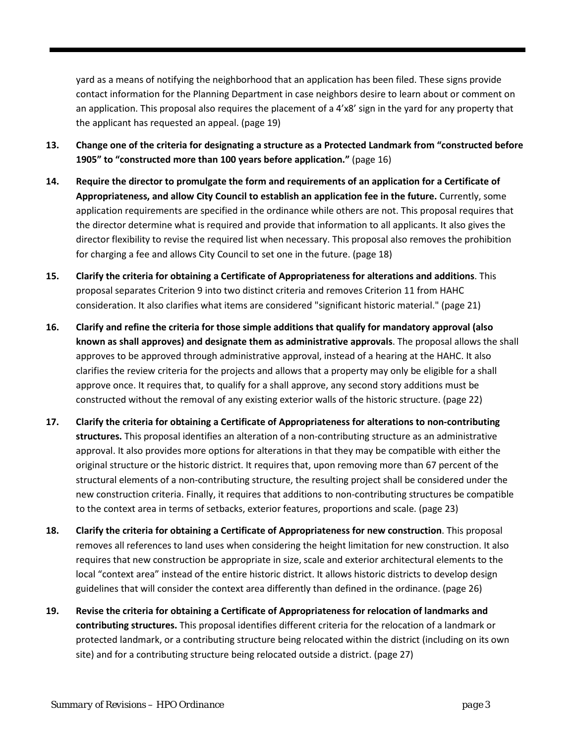yard as a means of notifying the neighborhood that an application has been filed. These signs provide contact information for the Planning Department in case neighbors desire to learn about or comment on an application. This proposal also requires the placement of a 4'x8' sign in the yard for any property that the applicant has requested an appeal. (page 19)

- **13. Change one of the criteria for designating a structure as a Protected Landmark from "constructed before 1905" to "constructed more than 100 years before application."** (page 16)
- **14. Require the director to promulgate the form and requirements of an application for a Certificate of Appropriateness, and allow City Council to establish an application fee in the future.** Currently, some application requirements are specified in the ordinance while others are not. This proposal requires that the director determine what is required and provide that information to all applicants. It also gives the director flexibility to revise the required list when necessary. This proposal also removes the prohibition for charging a fee and allows City Council to set one in the future. (page 18)
- **15. Clarify the criteria for obtaining a Certificate of Appropriateness for alterations and additions**. This proposal separates Criterion 9 into two distinct criteria and removes Criterion 11 from HAHC consideration. It also clarifies what items are considered "significant historic material." (page 21)
- **16. Clarify and refine the criteria for those simple additions that qualify for mandatory approval (also known as shall approves) and designate them as administrative approvals**. The proposal allows the shall approves to be approved through administrative approval, instead of a hearing at the HAHC. It also clarifies the review criteria for the projects and allows that a property may only be eligible for a shall approve once. It requires that, to qualify for a shall approve, any second story additions must be constructed without the removal of any existing exterior walls of the historic structure. (page 22)
- **17. Clarify the criteria for obtaining a Certificate of Appropriateness for alterations to non-contributing structures.** This proposal identifies an alteration of a non-contributing structure as an administrative approval. It also provides more options for alterations in that they may be compatible with either the original structure or the historic district. It requires that, upon removing more than 67 percent of the structural elements of a non-contributing structure, the resulting project shall be considered under the new construction criteria. Finally, it requires that additions to non-contributing structures be compatible to the context area in terms of setbacks, exterior features, proportions and scale. (page 23)
- **18. Clarify the criteria for obtaining a Certificate of Appropriateness for new construction**. This proposal removes all references to land uses when considering the height limitation for new construction. It also requires that new construction be appropriate in size, scale and exterior architectural elements to the local "context area" instead of the entire historic district. It allows historic districts to develop design guidelines that will consider the context area differently than defined in the ordinance. (page 26)
- **19. Revise the criteria for obtaining a Certificate of Appropriateness for relocation of landmarks and contributing structures.** This proposal identifies different criteria for the relocation of a landmark or protected landmark, or a contributing structure being relocated within the district (including on its own site) and for a contributing structure being relocated outside a district. (page 27)